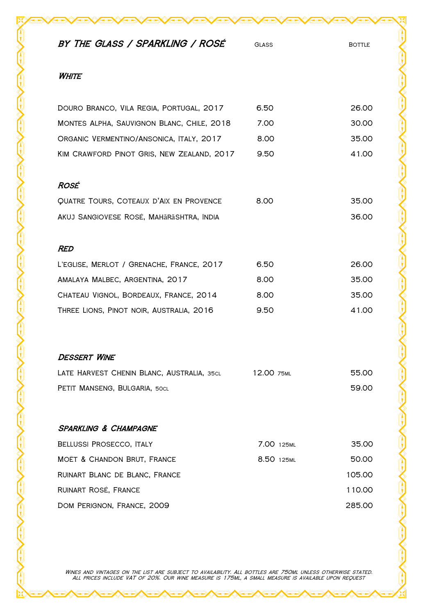| BY THE GLASS / SPARKLING / ROSÉ            | <b>GLASS</b> | <b>BOTTLE</b> |
|--------------------------------------------|--------------|---------------|
| WHITE                                      |              |               |
| DOURO BRANCO, VILA REGIA, PORTUGAL, 2017   | 6.50         | 26.00         |
| MONTES ALPHA, SAUVIGNON BLANC, CHILE, 2018 | 7.00         | 30.00         |
| ORGANIC VERMENTINO/ANSONICA, ITALY, 2017   | 8.00         | 35.00         |
| KIM CRAWFORD PINOT GRIS, NEW ZEALAND, 2017 | 9.50         | 41.00         |
| ROSÉ                                       |              |               |
| QUATRE TOURS, COTEAUX D'AIX EN PROVENCE    | 8.00         | 35.00         |
| AKUJ SANGIOVESE ROSÉ, MAHĀRĀSHTRA, INDIA   |              | 36.00         |
| <b>RED</b>                                 |              |               |
| L'EGLISE, MERLOT / GRENACHE, FRANCE, 2017  | 6.50         | 26.00         |
| AMALAYA MALBEC, ARGENTINA, 2017            | 8.00         | 35.00         |
| CHATEAU VIGNOL, BORDEAUX, FRANCE, 2014     | 8.00         | 35.00         |
| THREE LIONS, PINOT NOIR, AUSTRALIA, 2016   | 9.50         | 41.00         |
| <b>DESSERT WINE</b>                        |              |               |
| LATE HARVEST CHENIN BLANC, AUSTRALIA, 35CL | 12.00 75ML   | 55.00         |
| PETIT MANSENG, BULGARIA, 50CL              |              | 59.00         |
| <b>SPARKLING &amp; CHAMPAGNE</b>           |              |               |
| BELLUSSI PROSECCO, ITALY                   | 7.00 125ML   | 35.00         |
| MOËT & CHANDON BRUT, FRANCE                | 8.50 125ML   | 50.00         |
| RUINART BLANC DE BLANC, FRANCE             |              | 105.00        |
| RUINART ROSÉ, FRANCE                       |              | 110.00        |
| DOM PERIGNON, FRANCE, 2009                 |              | 285.00        |

Wines and vintages on the list are subject to availability. All bottles are 750ml unless otherwise stated. All prices include VAT of 20%. Our wine measure is 175ml, a small measure is available upon request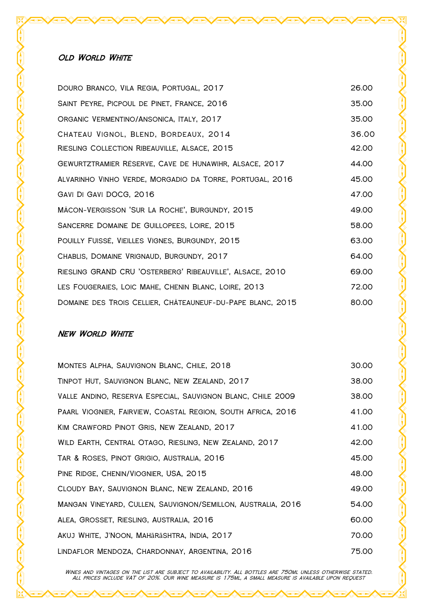| DOURO BRANCO, VILA REGIA, PORTUGAL, 2017                   | 26.00 |
|------------------------------------------------------------|-------|
| SAINT PEYRE, PICPOUL DE PINET, FRANCE, 2016                | 35.00 |
| ORGANIC VERMENTINO/ANSONICA, ITALY, 2017                   | 35.00 |
| CHATEAU VIGNOL, BLEND, BORDEAUX, 2014                      | 36.00 |
| RIESLING COLLECTION RIBEAUVILLE, ALSACE, 2015              | 42.00 |
| GEWURTZTRAMIER RÉSERVE, CAVE DE HUNAWIHR, ALSACE, 2017     | 44.00 |
| ALVARINHO VINHO VERDE, MORGADIO DA TORRE, PORTUGAL, 2016   | 45.00 |
| GAVI DI GAVI DOCG, 2016                                    | 47.00 |
| MÂCON-VERGISSON 'SUR LA ROCHE', BURGUNDY, 2015             | 49.00 |
| SANCERRE DOMAINE DE GUILLOPEES, LOIRE, 2015                | 58.00 |
| POUILLY FUISSÉ, VIEILLES VIGNES, BURGUNDY, 2015            | 63.00 |
| CHABLIS, DOMAINE VRIGNAUD, BURGUNDY, 2017                  | 64.00 |
| RIESLING GRAND CRU 'OSTERBERG' RIBEAUVILLE', ALSACE, 2010  | 69.00 |
| LES FOUGERAIES, LOIC MAHE, CHENIN BLANC, LOIRE, 2013       | 72.00 |
| DOMAINE DES TROIS CELLIER, CHÂTEAUNEUF-DU-PAPE BLANC, 2015 | 80.00 |

## **NEW WORLD WHITE**

| MONTES ALPHA, SAUVIGNON BLANC, CHILE, 2018                   | 30.00 |
|--------------------------------------------------------------|-------|
| TINPOT HUT, SAUVIGNON BLANC, NEW ZEALAND, 2017               | 38.00 |
| VALLE ANDINO, RESERVA ESPECIAL, SAUVIGNON BLANC, CHILE 2009  | 38.00 |
| PAARL VIOGNIER, FAIRVIEW, COASTAL REGION, SOUTH AFRICA, 2016 | 41.00 |
| KIM CRAWFORD PINOT GRIS, NEW ZEALAND, 2017                   | 41.00 |
| WILD EARTH, CENTRAL OTAGO, RIESLING, NEW ZEALAND, 2017       | 42.00 |
| TAR & ROSES, PINOT GRIGIO, AUSTRALIA, 2016                   | 45.00 |
| PINE RIDGE, CHENIN/VIOGNIER, USA, 2015                       | 48.00 |
| CLOUDY BAY, SAUVIGNON BLANC, NEW ZEALAND, 2016               | 49.00 |
| MANGAN VINEYARD, CULLEN, SAUVIGNON/SEMILLON, AUSTRALIA, 2016 | 54.00 |
| ALEA, GROSSET, RIESLING, AUSTRALIA, 2016                     | 60.00 |
| AKUJ WHITE, J'NOON, MAHARASHTRA, INDIA, 2017                 | 70.00 |
| LINDAFLOR MENDOZA, CHARDONNAY, ARGENTINA, 2016               | 75.00 |

Wines and vintages on the list are subject to availability. All bottles are 750ml unless otherwise stated. All prices include VAT of 20%. Our wine measure is 175ml, a small measure is available upon request